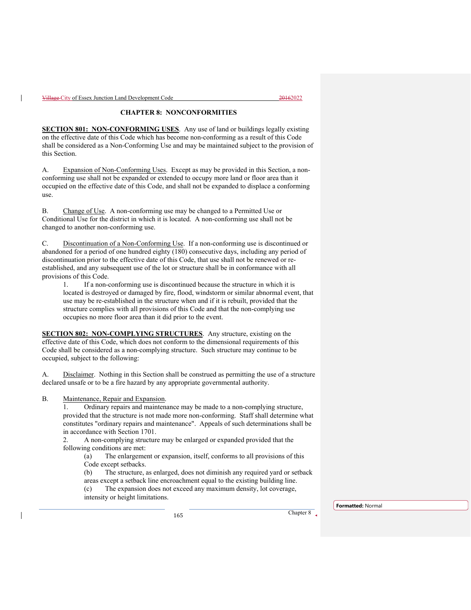## **CHAPTER 8: NONCONFORMITIES**

**SECTION 801: NON-CONFORMING USES**. Any use of land or buildings legally existing on the effective date of this Code which has become non-conforming as a result of this Code shall be considered as a Non-Conforming Use and may be maintained subject to the provision of this Section.

A. Expansion of Non-Conforming Uses. Except as may be provided in this Section, a nonconforming use shall not be expanded or extended to occupy more land or floor area than it occupied on the effective date of this Code, and shall not be expanded to displace a conforming use.

B. Change of Use. A non-conforming use may be changed to a Permitted Use or Conditional Use for the district in which it is located. A non-conforming use shall not be changed to another non-conforming use.

C. Discontinuation of a Non-Conforming Use. If a non-conforming use is discontinued or abandoned for a period of one hundred eighty (180) consecutive days, including any period of discontinuation prior to the effective date of this Code, that use shall not be renewed or reestablished, and any subsequent use of the lot or structure shall be in conformance with all provisions of this Code.

1. If a non-conforming use is discontinued because the structure in which it is located is destroyed or damaged by fire, flood, windstorm or similar abnormal event, that use may be re-established in the structure when and if it is rebuilt, provided that the structure complies with all provisions of this Code and that the non-complying use occupies no more floor area than it did prior to the event.

**SECTION 802: NON-COMPLYING STRUCTURES**. Any structure, existing on the effective date of this Code, which does not conform to the dimensional requirements of this Code shall be considered as a non-complying structure. Such structure may continue to be occupied, subject to the following:

A. Disclaimer. Nothing in this Section shall be construed as permitting the use of a structure declared unsafe or to be a fire hazard by any appropriate governmental authority.

B. Maintenance, Repair and Expansion.

1. Ordinary repairs and maintenance may be made to a non-complying structure, provided that the structure is not made more non-conforming. Staff shall determine what constitutes "ordinary repairs and maintenance". Appeals of such determinations shall be in accordance with Section 1701.

2. A non-complying structure may be enlarged or expanded provided that the following conditions are met:

(a) The enlargement or expansion, itself, conforms to all provisions of this Code except setbacks.

(b) The structure, as enlarged, does not diminish any required yard or setback areas except a setback line encroachment equal to the existing building line.

(c) The expansion does not exceed any maximum density, lot coverage, intensity or height limitations.

**Formatted:** Normal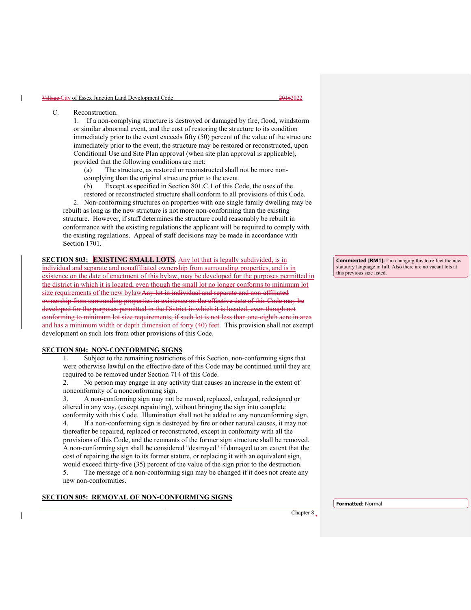## C. Reconstruction.

1. If a non-complying structure is destroyed or damaged by fire, flood, windstorm or similar abnormal event, and the cost of restoring the structure to its condition immediately prior to the event exceeds fifty (50) percent of the value of the structure immediately prior to the event, the structure may be restored or reconstructed, upon Conditional Use and Site Plan approval (when site plan approval is applicable), provided that the following conditions are met:

- (a) The structure, as restored or reconstructed shall not be more non-
- complying than the original structure prior to the event.
- (b) Except as specified in Section 801.C.1 of this Code, the uses of the
- restored or reconstructed structure shall conform to all provisions of this Code.

 2. Non-conforming structures on properties with one single family dwelling may be rebuilt as long as the new structure is not more non-conforming than the existing structure. However, if staff determines the structure could reasonably be rebuilt in conformance with the existing regulations the applicant will be required to comply with the existing regulations. Appeal of staff decisions may be made in accordance with Section 1701.

**SECTION 803: EXISTING SMALL LOTS.** Any lot that is legally subdivided, is in individual and separate and nonaffiliated ownership from surrounding properties, and is in existence on the date of enactment of this bylaw, may be developed for the purposes permitted in the district in which it is located, even though the small lot no longer conforms to minimum lot size requirements of the new bylawAny lot in individual and separate and non-affiliated ownership from surrounding properties in existence on the effective date of this Code may be developed for the purposes permitted in the District in which it is located, even though not conforming to minimum lot size requirements, if such lot is not less than one-eighth acre in a and has a minimum width or depth dimension of forty (40) feet. This provision shall not exempt development on such lots from other provisions of this Code.

## **SECTION 804: NON-CONFORMING SIGNS**

1. Subject to the remaining restrictions of this Section, non-conforming signs that were otherwise lawful on the effective date of this Code may be continued until they are required to be removed under Section 714 of this Code.

2. No person may engage in any activity that causes an increase in the extent of nonconformity of a nonconforming sign.

3. A non-conforming sign may not be moved, replaced, enlarged, redesigned or altered in any way, (except repainting), without bringing the sign into complete conformity with this Code. Illumination shall not be added to any nonconforming sign.

4. If a non-conforming sign is destroyed by fire or other natural causes, it may not thereafter be repaired, replaced or reconstructed, except in conformity with all the provisions of this Code, and the remnants of the former sign structure shall be removed. A non-conforming sign shall be considered "destroyed" if damaged to an extent that the cost of repairing the sign to its former stature, or replacing it with an equivalent sign, would exceed thirty-five (35) percent of the value of the sign prior to the destruction.

5. The message of a non-conforming sign may be changed if it does not create any new non-conformities.

## **SECTION 805: REMOVAL OF NON-CONFORMING SIGNS**

**Commented [RM1]:** I'm changing this to reflect the new statutory language in full. Also there are no vacant lots at this previous size listed.

**Formatted:** Normal

Chapter 8